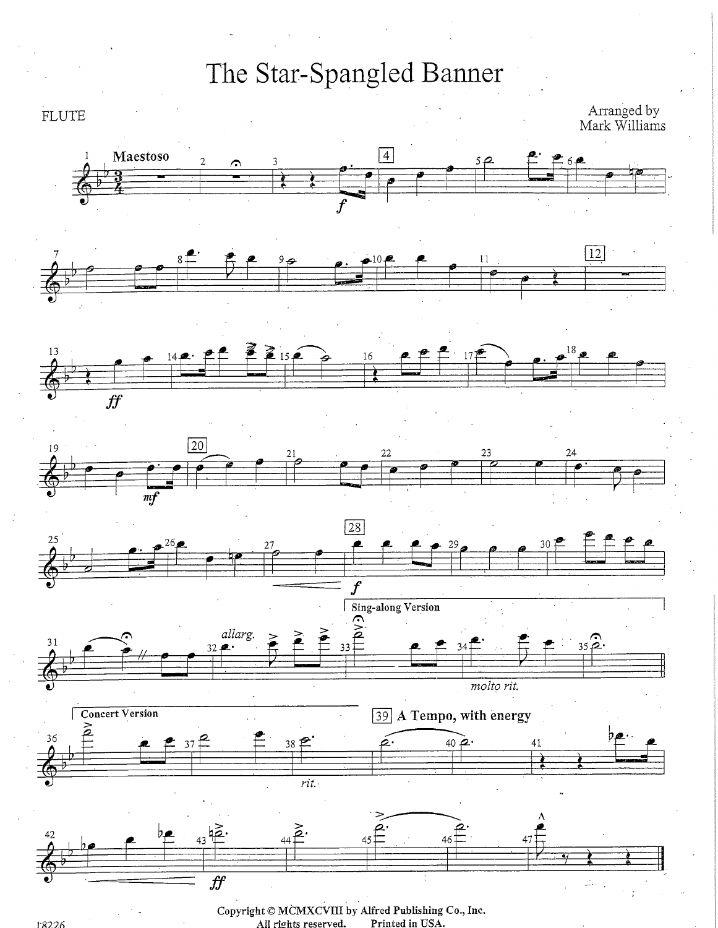

Copyright © MCMXCVIII by Alfred Publishing Co., Inc. All rights reserved. Printed in USA.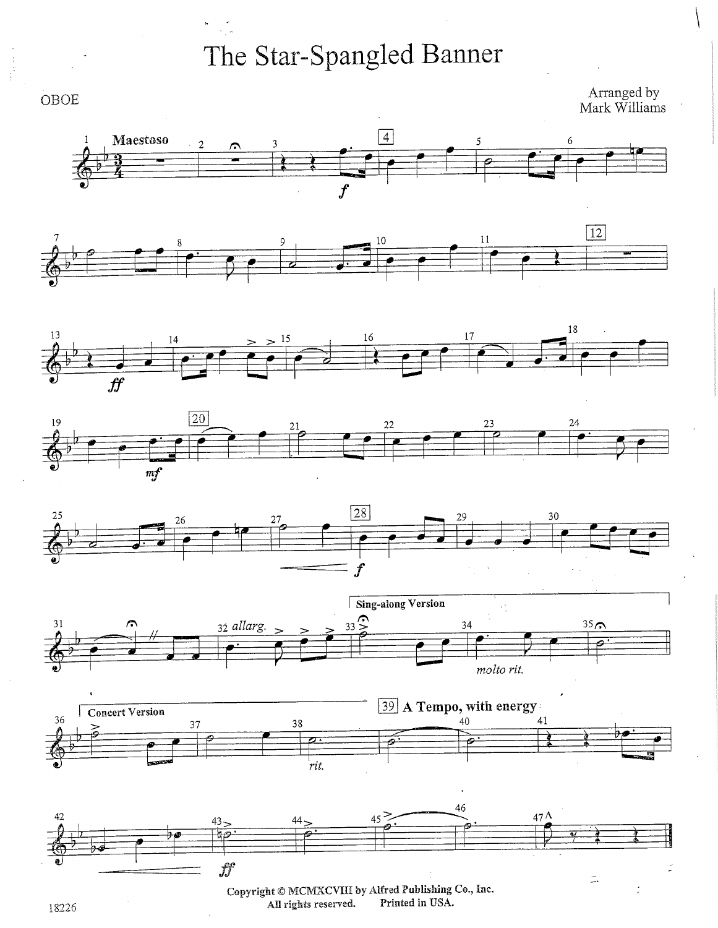

18226 **All rights reserved.**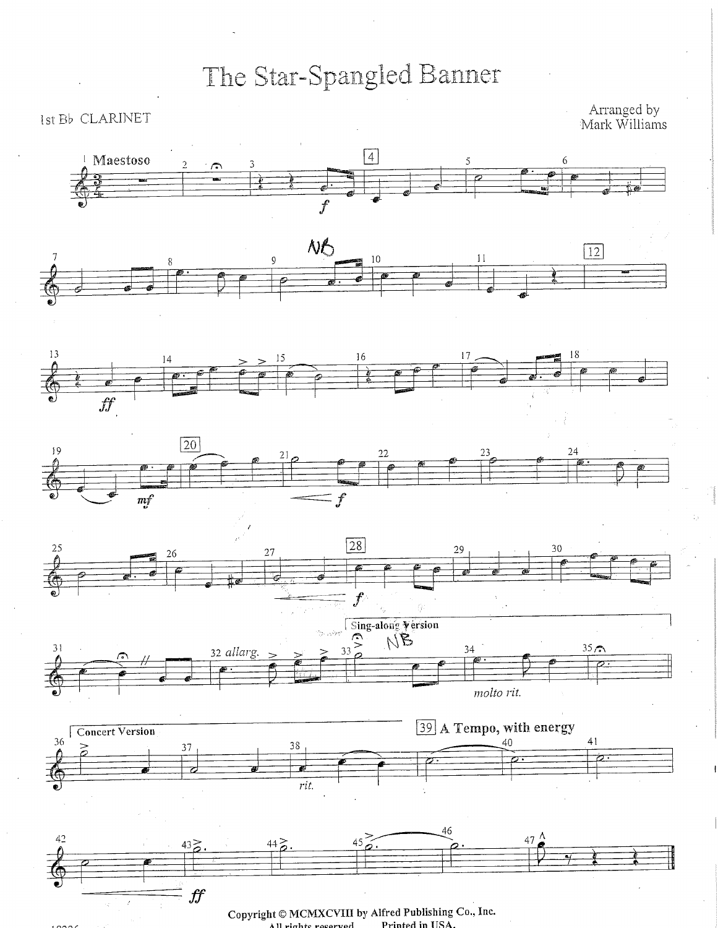Ist Bb CLARINET

Arranged by<br>Mark Williams



Copyright © MCMXCVIII by Alfred Publishing Co., Inc. Printed in USA. All rights reserved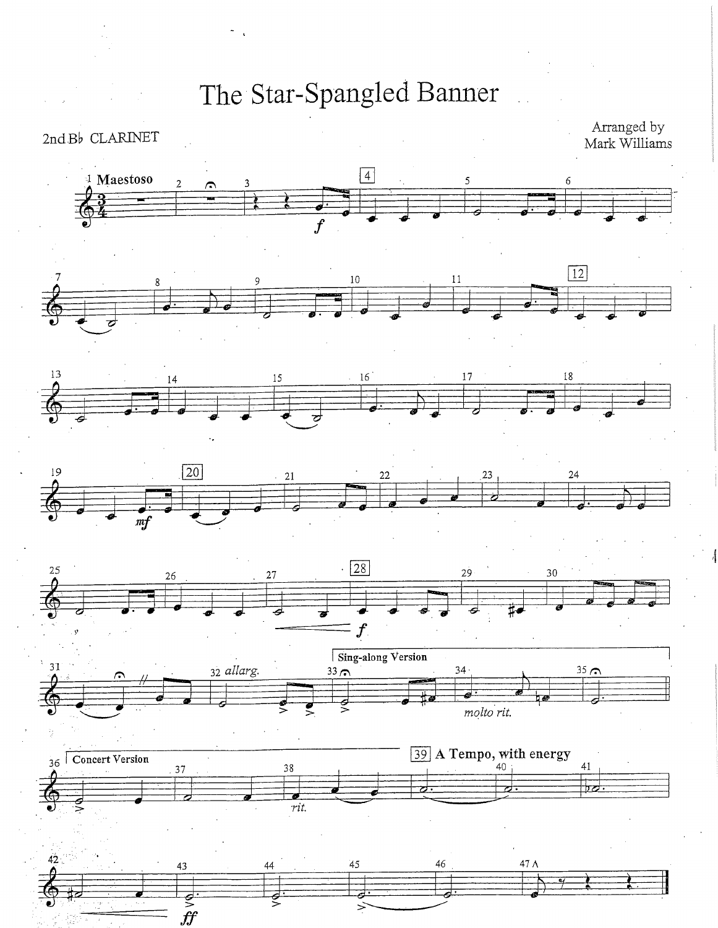$2ndB\flat$  CLARINET

Arranged by<br>Mark Williams

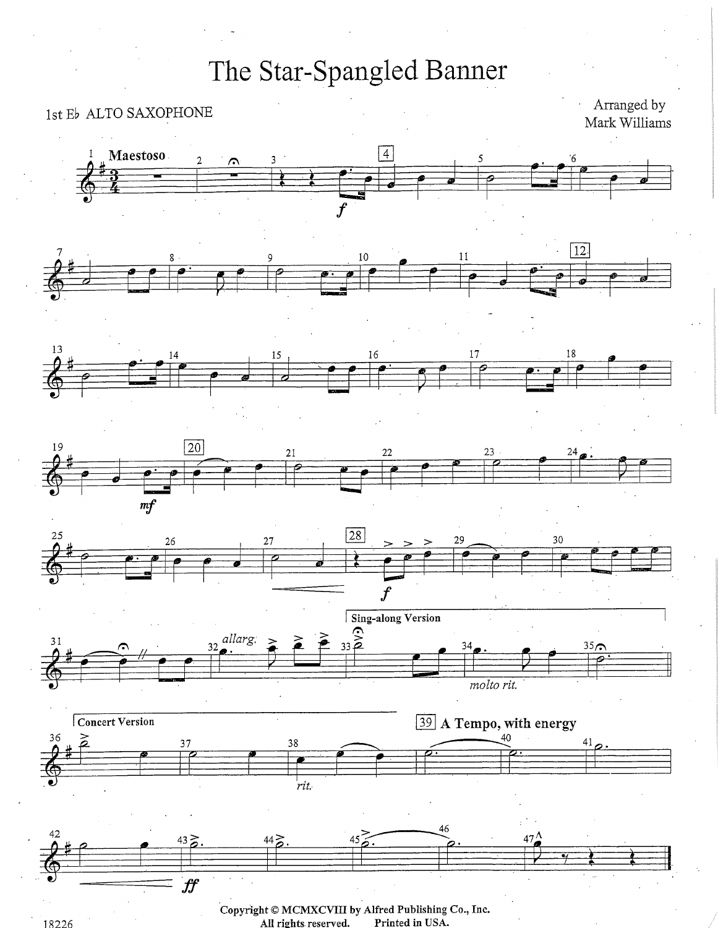#### 1st Eb ALTO SAXOPHONE

Arranged by Mark Williams



18226

Printed in USA. All rights reserved.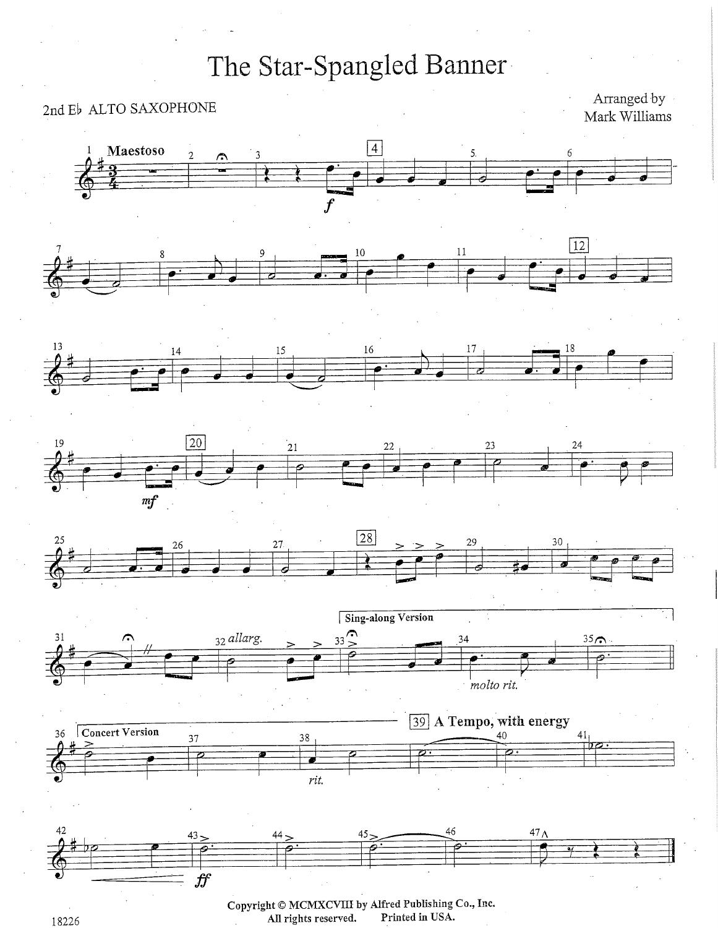### 2nd Eb ALTO SAXOPHONE

Arranged by Mark Williams

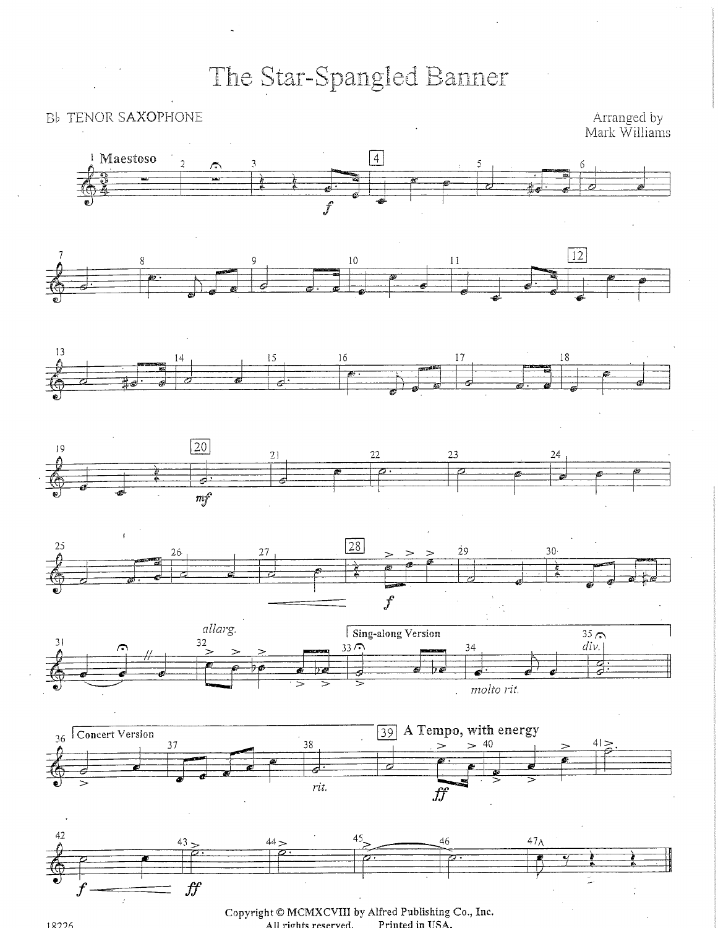#### Bb TENOR SAXOPHONE

Arranged by<br>Mark Williams



**Copyright © MCMXCVIII by Alfred Publishing Co., Inc. All rights reserved. Printed in USA.**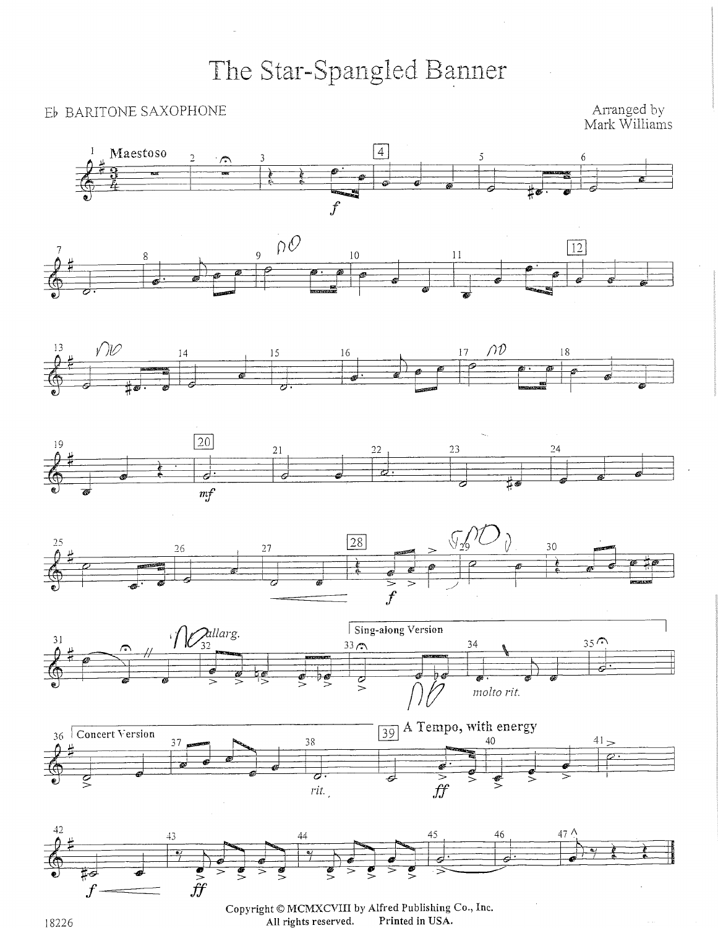#### Eb BARITONE SAXOPHONE

Arranged by Mark Williams



Copyright © MCMXCVIII by Alfred Publishing Co., Inc. Printed in USA. All rights reserved.

 $\hat{f}\hat{f}$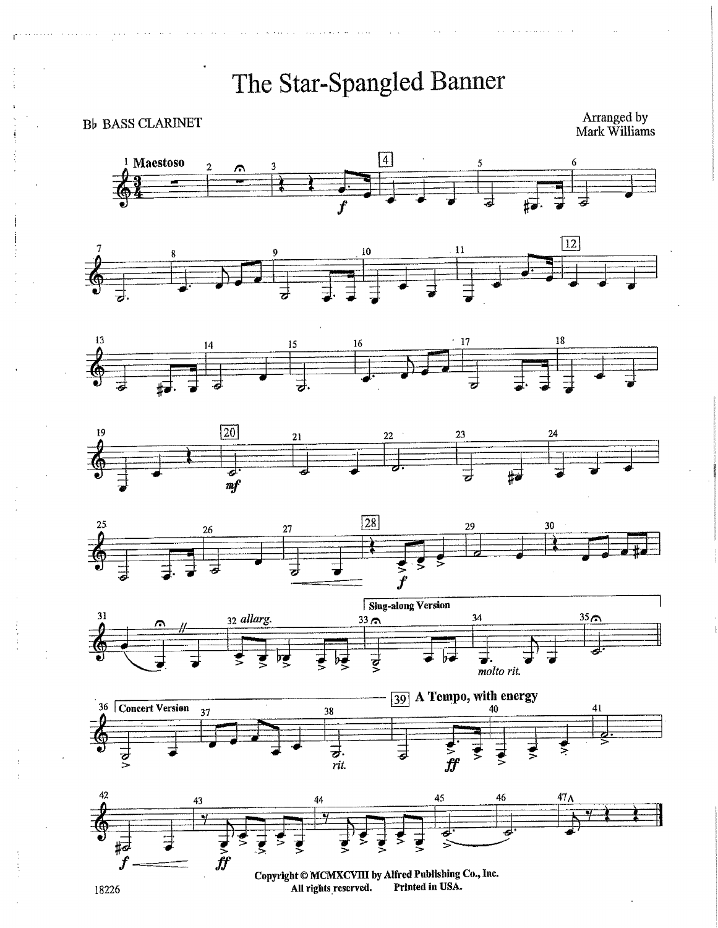**B**<sub>b</sub> BASS CLARINET

Arranged by<br>Mark Williams

















Copyright © MCMXCVIII by Alfred Publishing Co., Inc. Printed in USA. All rights reserved.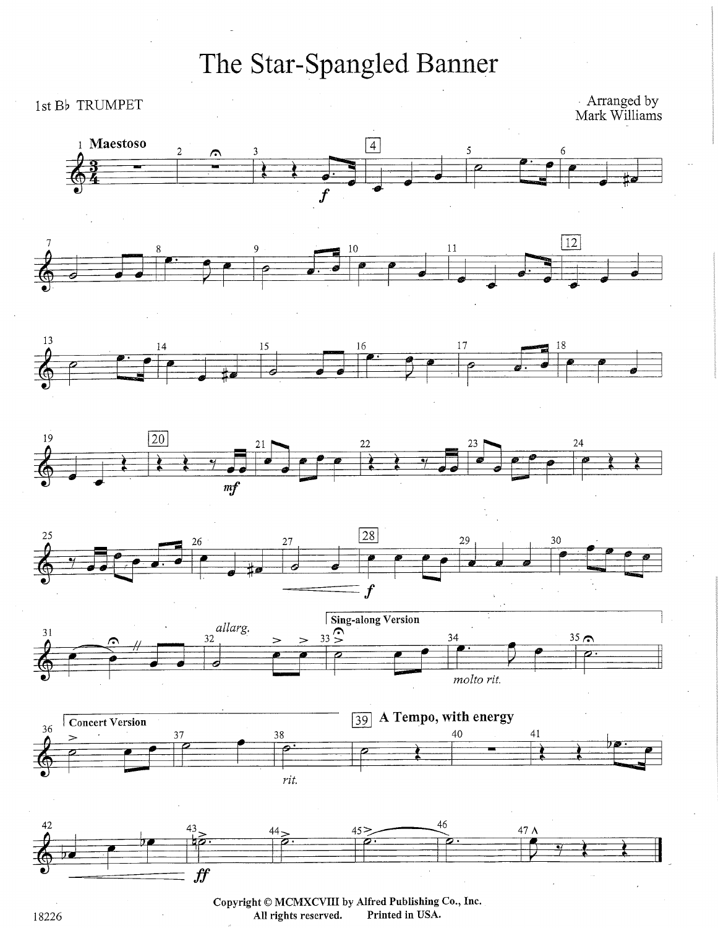#### 1st Bb TRUMPET

Arranged by<br>Mark Williams



**Copyright © MCMXCVIII by Alfred Publishing Co., Inc.**  18226 **All rights reserved.**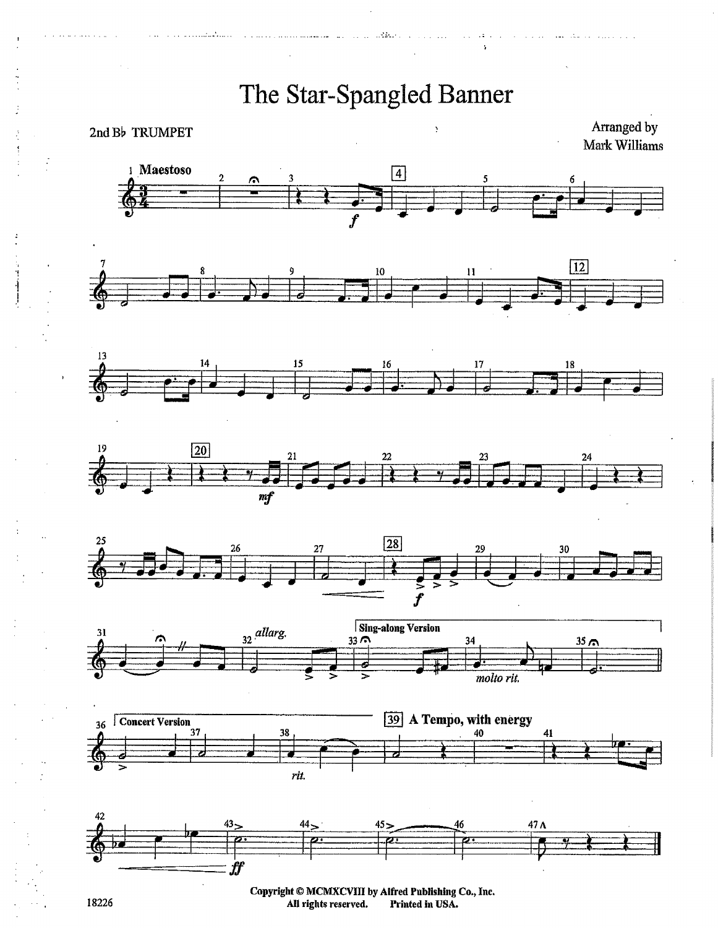The Star-Spangled Banner Arranged by 2nd Bb TRUMPET Mark Williams 1 Maestoso  $\boxed{4}$ 2  $\sqrt{12}$ 10  $13$ 15 16 18 19  $\boxed{20}$ 22  $m f$ 25  $\boxed{28}$ 27 26 29  $\boldsymbol{\hat{f}}$ **Sing-along Version** 

 $\sim 20$ 







Copyright © MCMXCVIII by Alfred Publishing Co., Inc.<br>All rights reserved. Printed in USA.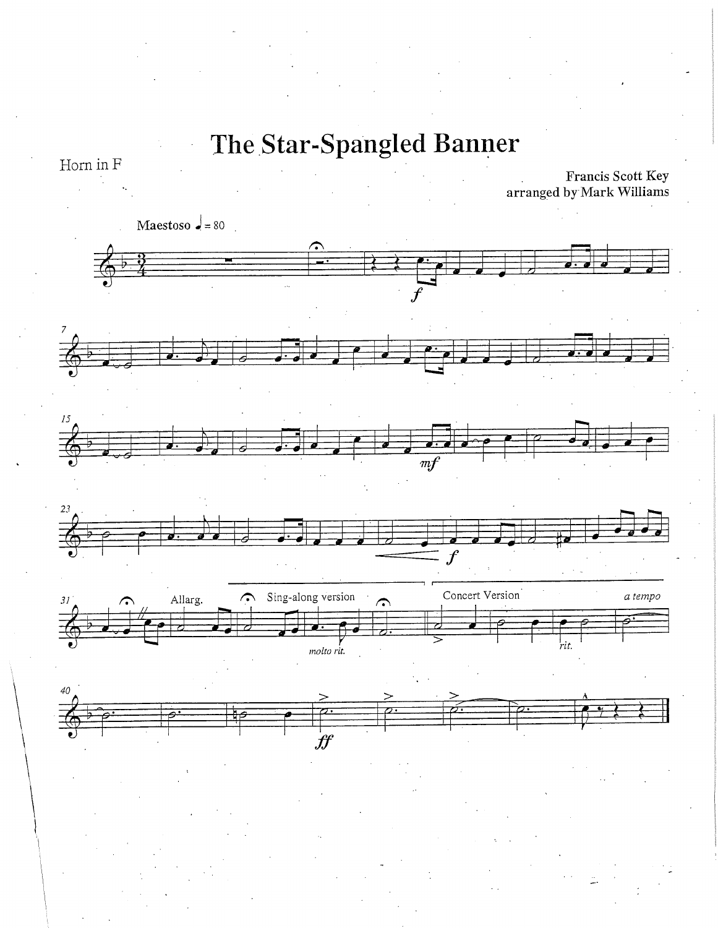Horn in F

Francis Scott Key<br>arranged by Mark Williams

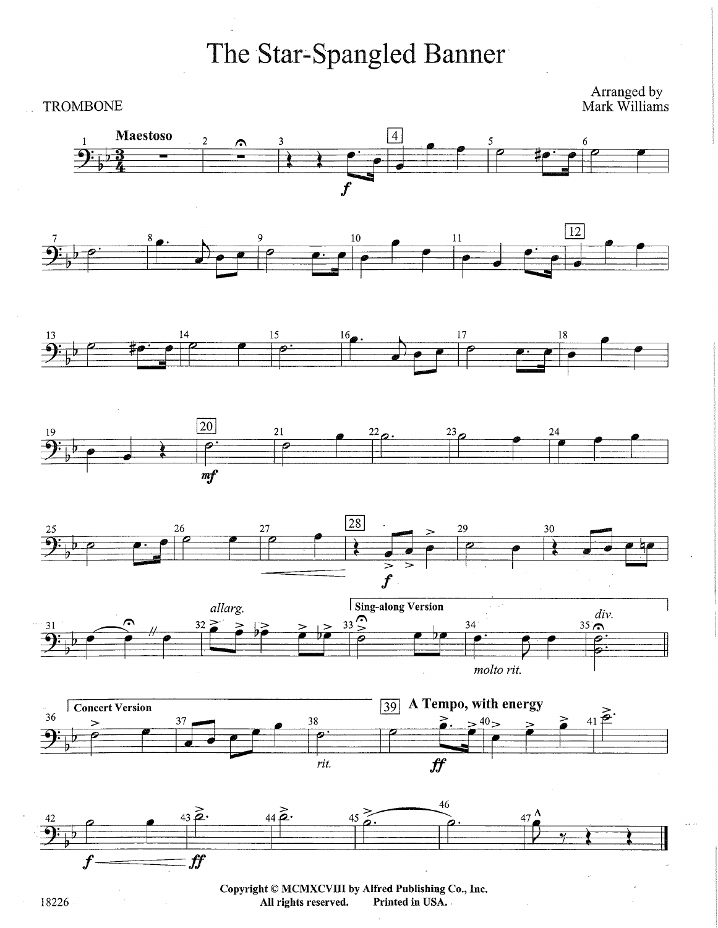#### **TROMBONE**

Arranged by<br>Mark Williams



Copyright © MCMXCVIII by Alfred Publishing Co., Inc. All rights reserved. Printed in USA.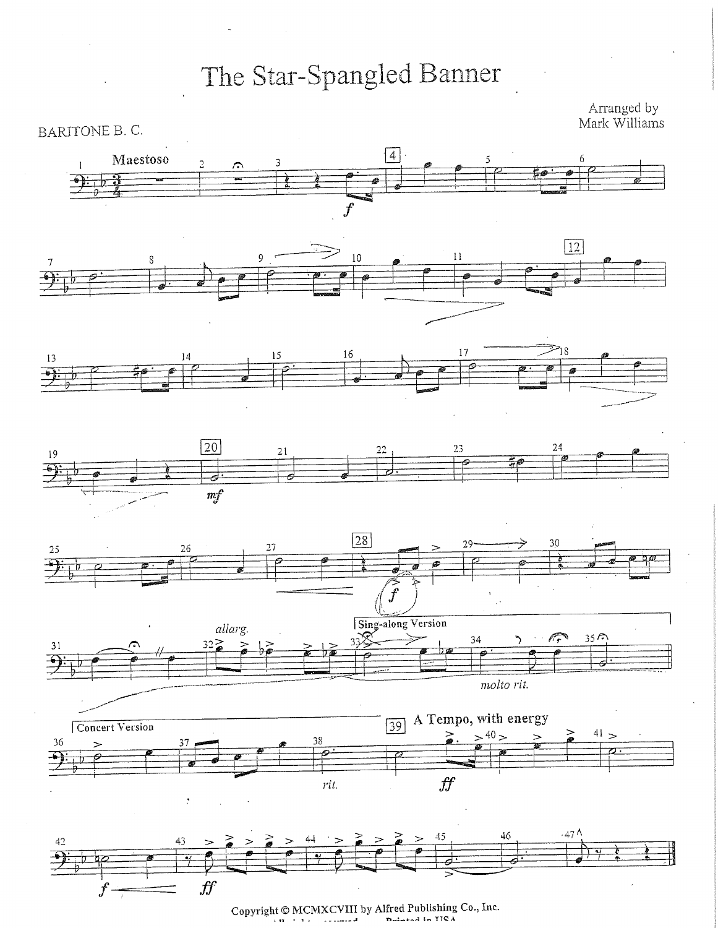Arranged by<br>Mark Williams



**Copyright© MCMXCVIII by Alfred Publishing Co., Inc.**  Dutsted in TICA